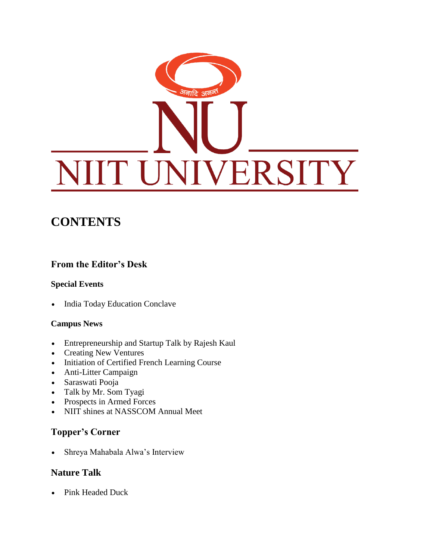# <sup>अ</sup>नाटि अ<sup>र्तव</sup> T UNIVERSITY

# **CONTENTS**

#### **From the Editor's Desk**

#### **Special Events**

• India Today Education Conclave

#### **Campus News**

- Entrepreneurship and Startup Talk by Rajesh Kaul
- Creating New Ventures
- Initiation of Certified French Learning Course
- Anti-Litter Campaign
- Saraswati Pooja
- Talk by Mr. Som Tyagi
- Prospects in Armed Forces
- NIIT shines at NASSCOM Annual Meet

#### **Topper's Corner**

Shreya Mahabala Alwa's Interview

#### **Nature Talk**

• Pink Headed Duck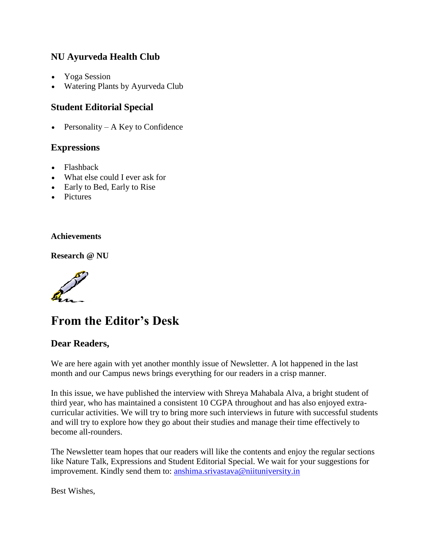#### **NU Ayurveda Health Club**

- Yoga Session
- Watering Plants by Ayurveda Club

#### **Student Editorial Special**

• Personality – A Key to Confidence

#### **Expressions**

- Flashback
- What else could I ever ask for
- Early to Bed, Early to Rise
- Pictures

#### **Achievements**

**Research @ NU**



# **From the Editor's Desk**

#### **Dear Readers,**

We are here again with yet another monthly issue of Newsletter. A lot happened in the last month and our Campus news brings everything for our readers in a crisp manner.

In this issue, we have published the interview with Shreya Mahabala Alva, a bright student of third year, who has maintained a consistent 10 CGPA throughout and has also enjoyed extracurricular activities. We will try to bring more such interviews in future with successful students and will try to explore how they go about their studies and manage their time effectively to become all-rounders.

The Newsletter team hopes that our readers will like the contents and enjoy the regular sections like Nature Talk, Expressions and Student Editorial Special. We wait for your suggestions for improvement. Kindly send them to: [anshima.srivastava@niituniversity.in](mailto:anshima.srivastava@niituniversity.in)

Best Wishes,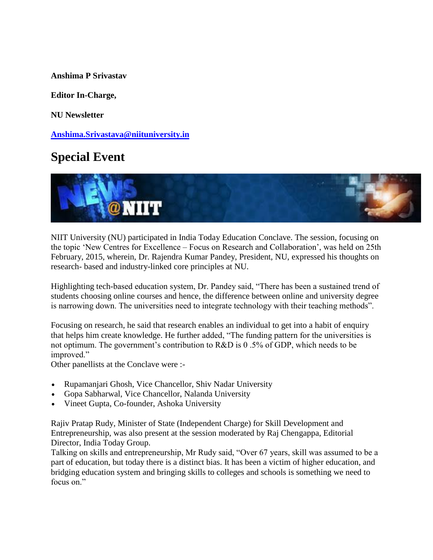**Anshima P Srivastav**

**Editor In-Charge,**

**NU Newsletter**

**[Anshima.Srivastava@niituniversity.in](mailto:Anshima.Srivastava@niituniversity.in)**

## **Special Event**



NIIT University (NU) participated in India Today Education Conclave. The session, focusing on the topic 'New Centres for Excellence – Focus on Research and Collaboration', was held on 25th February, 2015, wherein, Dr. Rajendra Kumar Pandey, President, NU, expressed his thoughts on research- based and industry-linked core principles at NU.

Highlighting tech-based education system, Dr. Pandey said, "There has been a sustained trend of students choosing online courses and hence, the difference between online and university degree is narrowing down. The universities need to integrate technology with their teaching methods".

Focusing on research, he said that research enables an individual to get into a habit of enquiry that helps him create knowledge. He further added, "The funding pattern for the universities is not optimum. The government's contribution to R&D is 0 .5% of GDP, which needs to be improved."

Other panellists at the Conclave were :-

- Rupamanjari Ghosh, Vice Chancellor, Shiv Nadar University
- Gopa Sabharwal, Vice Chancellor, Nalanda University
- Vineet Gupta, Co-founder, Ashoka University

Rajiv Pratap Rudy, Minister of State (Independent Charge) for Skill Development and Entrepreneurship, was also present at the session moderated by Raj Chengappa, Editorial Director, India Today Group.

Talking on skills and entrepreneurship, Mr Rudy said, "Over 67 years, skill was assumed to be a part of education, but today there is a distinct bias. It has been a victim of higher education, and bridging education system and bringing skills to colleges and schools is something we need to focus on"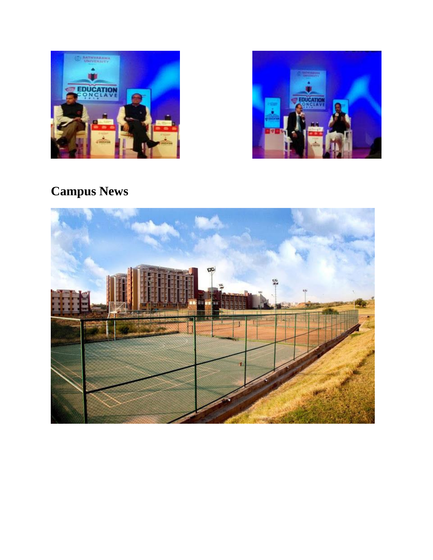



# **Campus News**

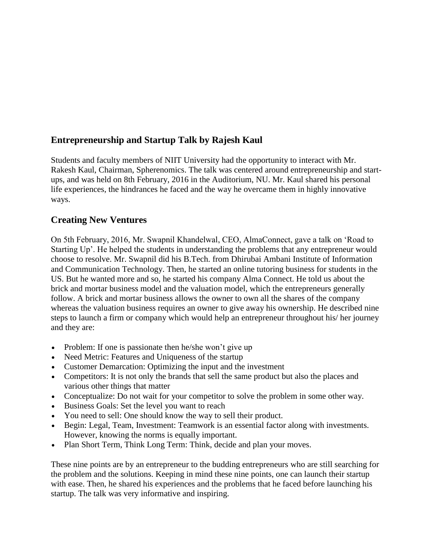#### **Entrepreneurship and Startup Talk by Rajesh Kaul**

Students and faculty members of NIIT University had the opportunity to interact with Mr. Rakesh Kaul, Chairman, Spherenomics. The talk was centered around entrepreneurship and startups, and was held on 8th February, 2016 in the Auditorium, NU. Mr. Kaul shared his personal life experiences, the hindrances he faced and the way he overcame them in highly innovative ways.

#### **Creating New Ventures**

On 5th February, 2016, Mr. Swapnil Khandelwal, CEO, AlmaConnect, gave a talk on 'Road to Starting Up'. He helped the students in understanding the problems that any entrepreneur would choose to resolve. Mr. Swapnil did his B.Tech. from Dhirubai Ambani Institute of Information and Communication Technology. Then, he started an online tutoring business for students in the US. But he wanted more and so, he started his company Alma Connect. He told us about the brick and mortar business model and the valuation model, which the entrepreneurs generally follow. A brick and mortar business allows the owner to own all the shares of the company whereas the valuation business requires an owner to give away his ownership. He described nine steps to launch a firm or company which would help an entrepreneur throughout his/ her journey and they are:

- Problem: If one is passionate then he/she won't give up
- Need Metric: Features and Uniqueness of the startup
- Customer Demarcation: Optimizing the input and the investment
- Competitors: It is not only the brands that sell the same product but also the places and various other things that matter
- Conceptualize: Do not wait for your competitor to solve the problem in some other way.
- Business Goals: Set the level you want to reach
- You need to sell: One should know the way to sell their product.
- Begin: Legal, Team, Investment: Teamwork is an essential factor along with investments. However, knowing the norms is equally important.
- Plan Short Term, Think Long Term: Think, decide and plan your moves.

These nine points are by an entrepreneur to the budding entrepreneurs who are still searching for the problem and the solutions. Keeping in mind these nine points, one can launch their startup with ease. Then, he shared his experiences and the problems that he faced before launching his startup. The talk was very informative and inspiring.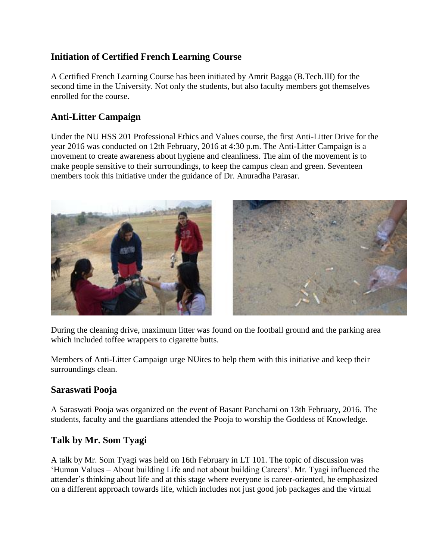#### **Initiation of Certified French Learning Course**

A Certified French Learning Course has been initiated by Amrit Bagga (B.Tech.III) for the second time in the University. Not only the students, but also faculty members got themselves enrolled for the course.

#### **Anti-Litter Campaign**

Under the NU HSS 201 Professional Ethics and Values course, the first Anti-Litter Drive for the year 2016 was conducted on 12th February, 2016 at 4:30 p.m. The Anti-Litter Campaign is a movement to create awareness about hygiene and cleanliness. The aim of the movement is to make people sensitive to their surroundings, to keep the campus clean and green. Seventeen members took this initiative under the guidance of Dr. Anuradha Parasar.



During the cleaning drive, maximum litter was found on the football ground and the parking area which included toffee wrappers to cigarette butts.

Members of Anti-Litter Campaign urge NUites to help them with this initiative and keep their surroundings clean.

#### **Saraswati Pooja**

A Saraswati Pooja was organized on the event of Basant Panchami on 13th February, 2016. The students, faculty and the guardians attended the Pooja to worship the Goddess of Knowledge.

#### **Talk by Mr. Som Tyagi**

A talk by Mr. Som Tyagi was held on 16th February in LT 101. The topic of discussion was 'Human Values – About building Life and not about building Careers'. Mr. Tyagi influenced the attender's thinking about life and at this stage where everyone is career-oriented, he emphasized on a different approach towards life, which includes not just good job packages and the virtual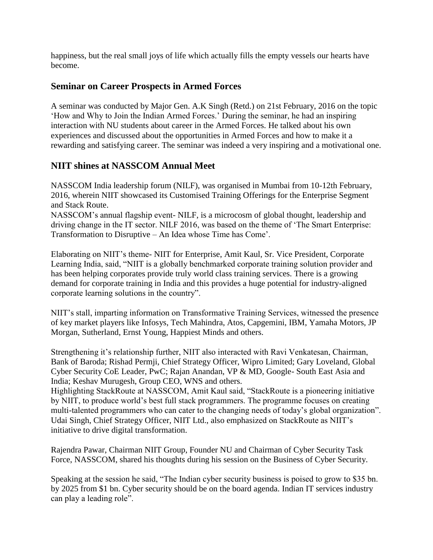happiness, but the real small joys of life which actually fills the empty vessels our hearts have become.

#### **Seminar on Career Prospects in Armed Forces**

A seminar was conducted by Major Gen. A.K Singh (Retd.) on 21st February, 2016 on the topic 'How and Why to Join the Indian Armed Forces.' During the seminar, he had an inspiring interaction with NU students about career in the Armed Forces. He talked about his own experiences and discussed about the opportunities in Armed Forces and how to make it a rewarding and satisfying career. The seminar was indeed a very inspiring and a motivational one.

#### **NIIT shines at NASSCOM Annual Meet**

NASSCOM India leadership forum (NILF), was organised in Mumbai from 10-12th February, 2016, wherein NIIT showcased its Customised Training Offerings for the Enterprise Segment and Stack Route.

NASSCOM's annual flagship event- NILF, is a microcosm of global thought, leadership and driving change in the IT sector. NILF 2016, was based on the theme of 'The Smart Enterprise: Transformation to Disruptive – An Idea whose Time has Come'.

Elaborating on NIIT's theme- NIIT for Enterprise, Amit Kaul, Sr. Vice President, Corporate Learning India, said, "NIIT is a globally benchmarked corporate training solution provider and has been helping corporates provide truly world class training services. There is a growing demand for corporate training in India and this provides a huge potential for industry-aligned corporate learning solutions in the country".

NIIT's stall, imparting information on Transformative Training Services, witnessed the presence of key market players like Infosys, Tech Mahindra, Atos, Capgemini, IBM, Yamaha Motors, JP Morgan, Sutherland, Ernst Young, Happiest Minds and others.

Strengthening it's relationship further, NIIT also interacted with Ravi Venkatesan, Chairman, Bank of Baroda; Rishad Permji, Chief Strategy Officer, Wipro Limited; Gary Loveland, Global Cyber Security CoE Leader, PwC; Rajan Anandan, VP & MD, Google- South East Asia and India; Keshav Murugesh, Group CEO, WNS and others.

Highlighting StackRoute at NASSCOM, Amit Kaul said, "StackRoute is a pioneering initiative by NIIT, to produce world's best full stack programmers. The programme focuses on creating multi-talented programmers who can cater to the changing needs of today's global organization". Udai Singh, Chief Strategy Officer, NIIT Ltd., also emphasized on StackRoute as NIIT's initiative to drive digital transformation.

Rajendra Pawar, Chairman NIIT Group, Founder NU and Chairman of Cyber Security Task Force, NASSCOM, shared his thoughts during his session on the Business of Cyber Security.

Speaking at the session he said, "The Indian cyber security business is poised to grow to \$35 bn. by 2025 from \$1 bn. Cyber security should be on the board agenda. Indian IT services industry can play a leading role".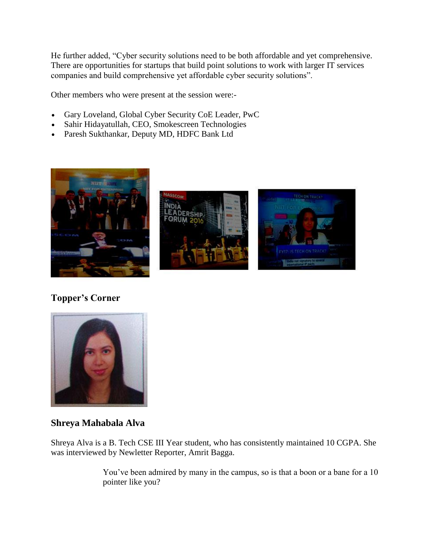He further added, "Cyber security solutions need to be both affordable and yet comprehensive. There are opportunities for startups that build point solutions to work with larger IT services companies and build comprehensive yet affordable cyber security solutions".

Other members who were present at the session were:-

- Gary Loveland, Global Cyber Security CoE Leader, PwC
- Sahir Hidayatullah, CEO, Smokescreen Technologies
- Paresh Sukthankar, Deputy MD, HDFC Bank Ltd







#### **Shreya Mahabala Alva**

Shreya Alva is a B. Tech CSE III Year student, who has consistently maintained 10 CGPA. She was interviewed by Newletter Reporter, Amrit Bagga.

> You've been admired by many in the campus, so is that a boon or a bane for a 10 pointer like you?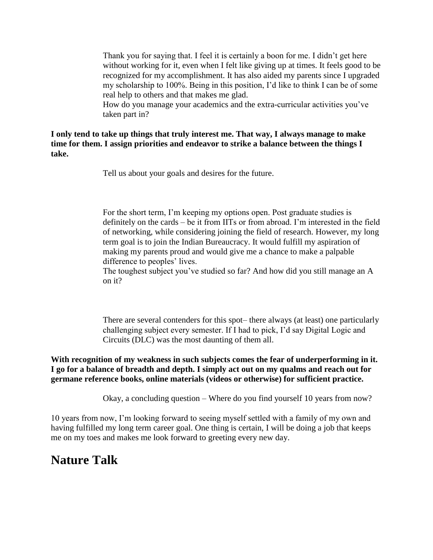Thank you for saying that. I feel it is certainly a boon for me. I didn't get here without working for it, even when I felt like giving up at times. It feels good to be recognized for my accomplishment. It has also aided my parents since I upgraded my scholarship to 100%. Being in this position, I'd like to think I can be of some real help to others and that makes me glad.

How do you manage your academics and the extra-curricular activities you've taken part in?

**I only tend to take up things that truly interest me. That way, I always manage to make time for them. I assign priorities and endeavor to strike a balance between the things I take.** 

Tell us about your goals and desires for the future.

For the short term, I'm keeping my options open. Post graduate studies is definitely on the cards – be it from IITs or from abroad. I'm interested in the field of networking, while considering joining the field of research. However, my long term goal is to join the Indian Bureaucracy. It would fulfill my aspiration of making my parents proud and would give me a chance to make a palpable difference to peoples' lives.

The toughest subject you've studied so far? And how did you still manage an A on it?

There are several contenders for this spot– there always (at least) one particularly challenging subject every semester. If I had to pick, I'd say Digital Logic and Circuits (DLC) was the most daunting of them all.

**With recognition of my weakness in such subjects comes the fear of underperforming in it. I go for a balance of breadth and depth. I simply act out on my qualms and reach out for germane reference books, online materials (videos or otherwise) for sufficient practice.**

Okay, a concluding question – Where do you find yourself 10 years from now?

10 years from now, I'm looking forward to seeing myself settled with a family of my own and having fulfilled my long term career goal. One thing is certain, I will be doing a job that keeps me on my toes and makes me look forward to greeting every new day.

## **Nature Talk**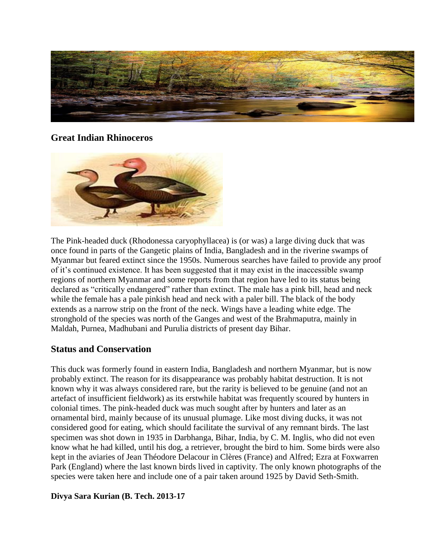

#### **Great Indian Rhinoceros**



The Pink-headed duck (Rhodonessa caryophyllacea) is (or was) a large diving duck that was once found in parts of the Gangetic plains of India, Bangladesh and in the riverine swamps of Myanmar but feared extinct since the 1950s. Numerous searches have failed to provide any proof of it's continued existence. It has been suggested that it may exist in the inaccessible swamp regions of northern Myanmar and some reports from that region have led to its status being declared as "critically endangered" rather than extinct. The male has a pink bill, head and neck while the female has a pale pinkish head and neck with a paler bill. The black of the body extends as a narrow strip on the front of the neck. Wings have a leading white edge. The stronghold of the species was north of the Ganges and west of the Brahmaputra, mainly in Maldah, Purnea, Madhubani and Purulia districts of present day Bihar.

#### **Status and Conservation**

This duck was formerly found in eastern India, Bangladesh and northern Myanmar, but is now probably extinct. The reason for its disappearance was probably habitat destruction. It is not known why it was always considered rare, but the rarity is believed to be genuine (and not an artefact of insufficient fieldwork) as its erstwhile habitat was frequently scoured by hunters in colonial times. The pink-headed duck was much sought after by hunters and later as an ornamental bird, mainly because of its unusual plumage. Like most diving ducks, it was not considered good for eating, which should facilitate the survival of any remnant birds. The last specimen was shot down in 1935 in Darbhanga, Bihar, India, by C. M. Inglis, who did not even know what he had killed, until his dog, a retriever, brought the bird to him. Some birds were also kept in the aviaries of Jean Théodore Delacour in Clères (France) and Alfred; Ezra at Foxwarren Park (England) where the last known birds lived in captivity. The only known photographs of the species were taken here and include one of a pair taken around 1925 by David Seth-Smith.

#### **Divya Sara Kurian (B. Tech. 2013-17**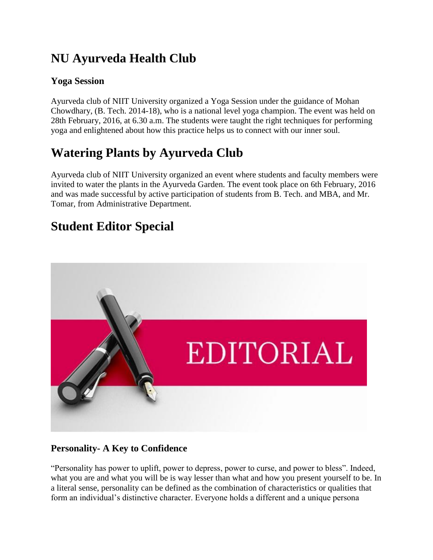# **NU Ayurveda Health Club**

#### **Yoga Session**

Ayurveda club of NIIT University organized a Yoga Session under the guidance of Mohan Chowdhary, (B. Tech. 2014-18), who is a national level yoga champion. The event was held on 28th February, 2016, at 6.30 a.m. The students were taught the right techniques for performing yoga and enlightened about how this practice helps us to connect with our inner soul.

# **Watering Plants by Ayurveda Club**

Ayurveda club of NIIT University organized an event where students and faculty members were invited to water the plants in the Ayurveda Garden. The event took place on 6th February, 2016 and was made successful by active participation of students from B. Tech. and MBA, and Mr. Tomar, from Administrative Department.

# **Student Editor Special**



#### **Personality- A Key to Confidence**

"Personality has power to uplift, power to depress, power to curse, and power to bless". Indeed, what you are and what you will be is way lesser than what and how you present yourself to be. In a literal sense, personality can be defined as the combination of characteristics or qualities that form an individual's distinctive character. Everyone holds a different and a unique persona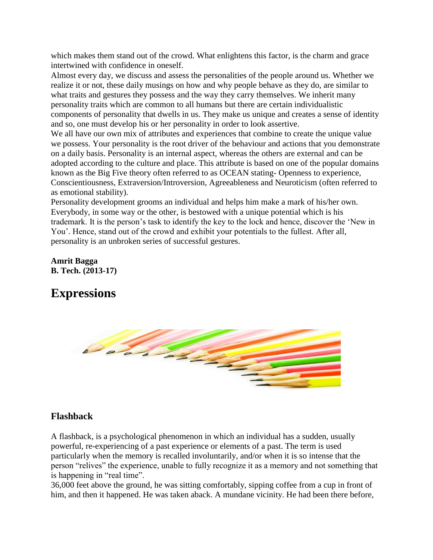which makes them stand out of the crowd. What enlightens this factor, is the charm and grace intertwined with confidence in oneself.

Almost every day, we discuss and assess the personalities of the people around us. Whether we realize it or not, these daily musings on how and why people behave as they do, are similar to what traits and gestures they possess and the way they carry themselves. We inherit many personality traits which are common to all humans but there are certain individualistic components of personality that dwells in us. They make us unique and creates a sense of identity and so, one must develop his or her personality in order to look assertive.

We all have our own mix of attributes and experiences that combine to create the unique value we possess. Your personality is the root driver of the behaviour and actions that you demonstrate on a daily basis. Personality is an internal aspect, whereas the others are external and can be adopted according to the culture and place. This attribute is based on one of the popular domains known as the Big Five theory often referred to as OCEAN stating- Openness to experience, Conscientiousness, Extraversion/Introversion, Agreeableness and Neuroticism (often referred to as emotional stability).

Personality development grooms an individual and helps him make a mark of his/her own. Everybody, in some way or the other, is bestowed with a unique potential which is his trademark. It is the person's task to identify the key to the lock and hence, discover the 'New in You'. Hence, stand out of the crowd and exhibit your potentials to the fullest. After all, personality is an unbroken series of successful gestures.

#### **Amrit Bagga B. Tech. (2013-17)**

## **Expressions**



#### **Flashback**

A flashback, is a psychological phenomenon in which an individual has a sudden, usually powerful, re-experiencing of a past experience or elements of a past. The term is used particularly when the memory is recalled involuntarily, and/or when it is so intense that the person "relives" the experience, unable to fully recognize it as a memory and not something that is happening in "real time".

36,000 feet above the ground, he was sitting comfortably, sipping coffee from a cup in front of him, and then it happened. He was taken aback. A mundane vicinity. He had been there before,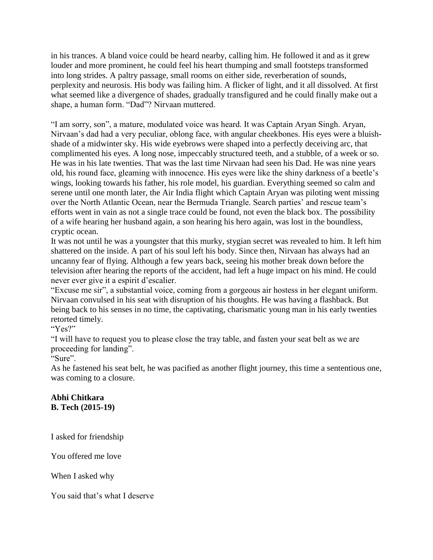in his trances. A bland voice could be heard nearby, calling him. He followed it and as it grew louder and more prominent, he could feel his heart thumping and small footsteps transformed into long strides. A paltry passage, small rooms on either side, reverberation of sounds, perplexity and neurosis. His body was failing him. A flicker of light, and it all dissolved. At first what seemed like a divergence of shades, gradually transfigured and he could finally make out a shape, a human form. "Dad"? Nirvaan muttered.

"I am sorry, son", a mature, modulated voice was heard. It was Captain Aryan Singh. Aryan, Nirvaan's dad had a very peculiar, oblong face, with angular cheekbones. His eyes were a bluishshade of a midwinter sky. His wide eyebrows were shaped into a perfectly deceiving arc, that complimented his eyes. A long nose, impeccably structured teeth, and a stubble, of a week or so. He was in his late twenties. That was the last time Nirvaan had seen his Dad. He was nine years old, his round face, gleaming with innocence. His eyes were like the shiny darkness of a beetle's wings, looking towards his father, his role model, his guardian. Everything seemed so calm and serene until one month later, the Air India flight which Captain Aryan was piloting went missing over the North Atlantic Ocean, near the Bermuda Triangle. Search parties' and rescue team's efforts went in vain as not a single trace could be found, not even the black box. The possibility of a wife hearing her husband again, a son hearing his hero again, was lost in the boundless, cryptic ocean.

It was not until he was a youngster that this murky, stygian secret was revealed to him. It left him shattered on the inside. A part of his soul left his body. Since then, Nirvaan has always had an uncanny fear of flying. Although a few years back, seeing his mother break down before the television after hearing the reports of the accident, had left a huge impact on his mind. He could never ever give it a espirit d'escalier.

"Excuse me sir", a substantial voice, coming from a gorgeous air hostess in her elegant uniform. Nirvaan convulsed in his seat with disruption of his thoughts. He was having a flashback. But being back to his senses in no time, the captivating, charismatic young man in his early twenties retorted timely.

"Yes?"

"I will have to request you to please close the tray table, and fasten your seat belt as we are proceeding for landing".

"Sure".

As he fastened his seat belt, he was pacified as another flight journey, this time a sententious one, was coming to a closure.

#### **Abhi Chitkara B. Tech (2015-19)**

I asked for friendship

You offered me love

When I asked why

You said that's what I deserve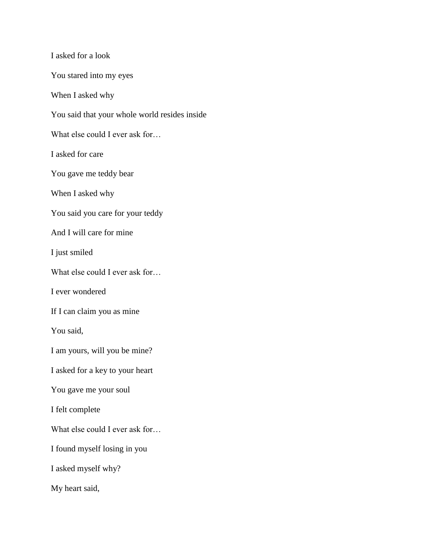I asked for a look You stared into my eyes When I asked why You said that your whole world resides inside What else could I ever ask for... I asked for care You gave me teddy bear When I asked why You said you care for your teddy And I will care for mine I just smiled What else could I ever ask for… I ever wondered If I can claim you as mine You said, I am yours, will you be mine? I asked for a key to your heart You gave me your soul I felt complete What else could I ever ask for... I found myself losing in you I asked myself why? My heart said,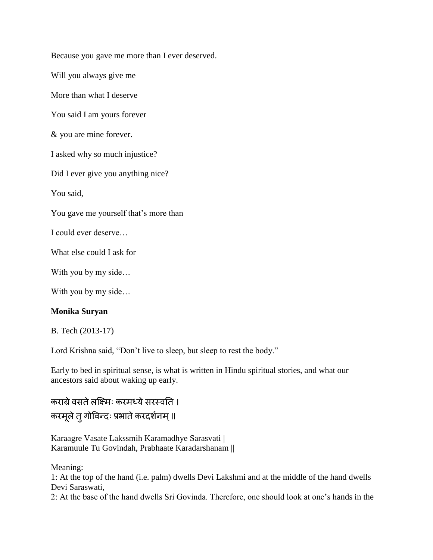Because you gave me more than I ever deserved. Will you always give me More than what I deserve You said I am yours forever & you are mine forever. I asked why so much injustice? Did I ever give you anything nice? You said, You gave me yourself that's more than I could ever deserve… What else could I ask for With you by my side... With you by my side...

#### **Monika Suryan**

#### B. Tech (2013-17)

Lord Krishna said, "Don't live to sleep, but sleep to rest the body."

Early to bed in spiritual sense, is what is written in Hindu spiritual stories, and what our ancestors said about waking up early.

कराग्रे वसते लक्ष्मिः करमध्ये सरस्वति । करमूले तु गोविन्दः प्रभाते करदर्शनम् ॥

Karaagre Vasate Lakssmih Karamadhye Sarasvati | Karamuule Tu Govindah, Prabhaate Karadarshanam ||

Meaning:

1: At the top of the hand (i.e. palm) dwells Devi Lakshmi and at the middle of the hand dwells Devi Saraswati,

2: At the base of the hand dwells Sri Govinda. Therefore, one should look at one's hands in the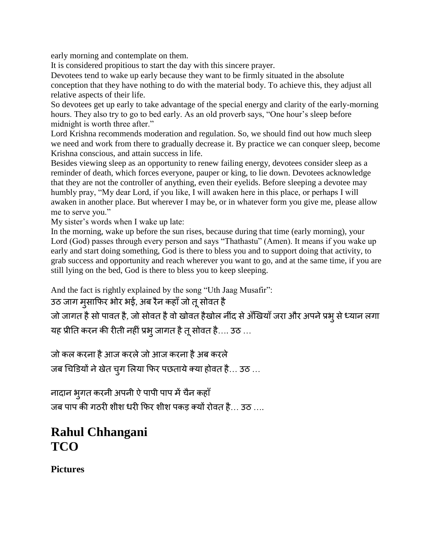early morning and contemplate on them.

It is considered propitious to start the day with this sincere prayer.

Devotees tend to wake up early because they want to be firmly situated in the absolute conception that they have nothing to do with the material body. To achieve this, they adjust all relative aspects of their life.

So devotees get up early to take advantage of the special energy and clarity of the early-morning hours. They also try to go to bed early. As an old proverb says, "One hour's sleep before midnight is worth three after."

Lord Krishna recommends moderation and regulation. So, we should find out how much sleep we need and work from there to gradually decrease it. By practice we can conquer sleep, become Krishna conscious, and attain success in life.

Besides viewing sleep as an opportunity to renew failing energy, devotees consider sleep as a reminder of death, which forces everyone, pauper or king, to lie down. Devotees acknowledge that they are not the controller of anything, even their eyelids. Before sleeping a devotee may humbly pray, "My dear Lord, if you like, I will awaken here in this place, or perhaps I will awaken in another place. But wherever I may be, or in whatever form you give me, please allow me to serve you."

My sister's words when I wake up late:

In the morning, wake up before the sun rises, because during that time (early morning), your Lord (God) passes through every person and says "Thathastu" (Amen). It means if you wake up early and start doing something, God is there to bless you and to support doing that activity, to grab success and opportunity and reach wherever you want to go, and at the same time, if you are still lying on the bed, God is there to bless you to keep sleeping.

And the fact is rightly explained by the song "Uth Jaag Musafir":

#### उठ जाग मुसाफिर भोर भई, अब रैन कहाँ जो तू सोवत है

जो जागत है सो पावत है, जो सोवत है वो खोवत हैखोल नींद से अँखियाँ जरा और अपने प्रभू से ध्यान लगा यह प्रीति करन की रीती नहीं प्रभ् जागत है तू सोवत है.... उठ ...

जो कल करना है आज करले जो आज करना है अब करले

जब चिडियों ने खेत चुग लिया फिर पछताये क्या होवत है... उठ ...

नादान भूगत करनी अपनी ऐ पापी पाप में चैन कहाँ जब पाप की गठरी शीश धरी फिर शीश पकड़ क्यों रोवत है... उठ ....

### **Rahul Chhangani TCO**

**Pictures**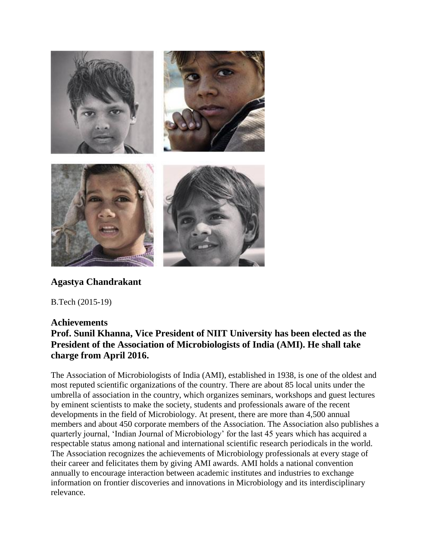

#### **Agastya Chandrakant**

B.Tech (2015-19)

#### **Achievements**

#### **Prof. Sunil Khanna, Vice President of NIIT University has been elected as the President of the Association of Microbiologists of India (AMI). He shall take charge from April 2016.**

The Association of Microbiologists of India (AMI), established in 1938, is one of the oldest and most reputed scientific organizations of the country. There are about 85 local units under the umbrella of association in the country, which organizes seminars, workshops and guest lectures by eminent scientists to make the society, students and professionals aware of the recent developments in the field of Microbiology. At present, there are more than 4,500 annual members and about 450 corporate members of the Association. The Association also publishes a quarterly journal, 'Indian Journal of Microbiology' for the last 45 years which has acquired a respectable status among national and international scientific research periodicals in the world. The Association recognizes the achievements of Microbiology professionals at every stage of their career and felicitates them by giving AMI awards. AMI holds a national convention annually to encourage interaction between academic institutes and industries to exchange information on frontier discoveries and innovations in Microbiology and its interdisciplinary relevance.